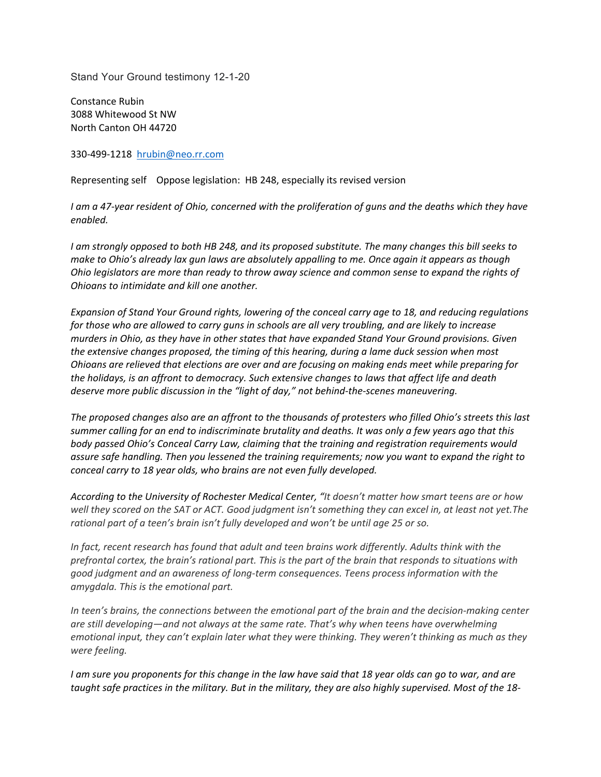Stand Your Ground testimony 12-1-20

Constance Rubin 3088 Whitewood St NW North Canton OH 44720

330-499-1218 hrubin@neo.rr.com

Representing self Oppose legislation: HB 248, especially its revised version

*I am a 47-year resident of Ohio, concerned with the proliferation of guns and the deaths which they have enabled.* 

*I am strongly opposed to both HB 248, and its proposed substitute. The many changes this bill seeks to make to Ohio's already lax gun laws are absolutely appalling to me. Once again it appears as though Ohio legislators are more than ready to throw away science and common sense to expand the rights of Ohioans to intimidate and kill one another.* 

*Expansion of Stand Your Ground rights, lowering of the conceal carry age to 18, and reducing regulations for those who are allowed to carry guns in schools are all very troubling, and are likely to increase murders in Ohio, as they have in other states that have expanded Stand Your Ground provisions. Given the extensive changes proposed, the timing of this hearing, during a lame duck session when most Ohioans are relieved that elections are over and are focusing on making ends meet while preparing for the holidays, is an affront to democracy. Such extensive changes to laws that affect life and death deserve more public discussion in the "light of day," not behind-the-scenes maneuvering.* 

*The proposed changes also are an affront to the thousands of protesters who filled Ohio's streets this last summer calling for an end to indiscriminate brutality and deaths. It was only a few years ago that this body passed Ohio's Conceal Carry Law, claiming that the training and registration requirements would assure safe handling. Then you lessened the training requirements; now you want to expand the right to conceal carry to 18 year olds, who brains are not even fully developed.* 

*According to the University of Rochester Medical Center, "It doesn't matter how smart teens are or how well they scored on the SAT or ACT. Good judgment isn't something they can excel in, at least not yet.The rational part of a teen's brain isn't fully developed and won't be until age 25 or so.*

*In fact, recent research has found that adult and teen brains work differently. Adults think with the prefrontal cortex, the brain's rational part. This is the part of the brain that responds to situations with good judgment and an awareness of long-term consequences. Teens process information with the amygdala. This is the emotional part.*

*In teen's brains, the connections between the emotional part of the brain and the decision-making center are still developing—and not always at the same rate. That's why when teens have overwhelming emotional input, they can't explain later what they were thinking. They weren't thinking as much as they were feeling.*

*I am sure you proponents for this change in the law have said that 18 year olds can go to war, and are taught safe practices in the military. But in the military, they are also highly supervised. Most of the 18-*